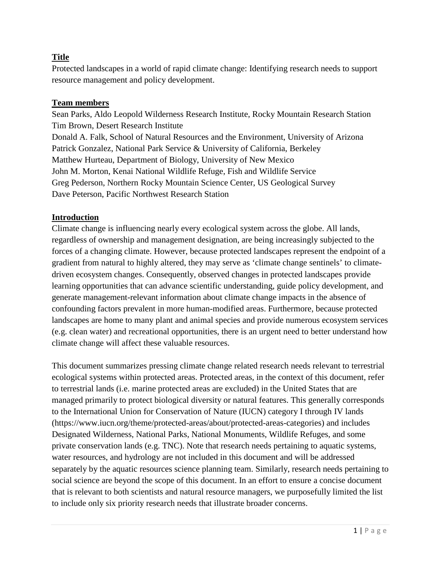# **Title**

Protected landscapes in a world of rapid climate change: Identifying research needs to support resource management and policy development.

### **Team members**

Sean Parks, Aldo Leopold Wilderness Research Institute, Rocky Mountain Research Station Tim Brown, Desert Research Institute Donald A. Falk, School of Natural Resources and the Environment, University of Arizona Patrick Gonzalez, National Park Service & University of California, Berkeley Matthew Hurteau, Department of Biology, University of New Mexico John M. Morton, Kenai National Wildlife Refuge, Fish and Wildlife Service Greg Pederson, Northern Rocky Mountain Science Center, US Geological Survey Dave Peterson, Pacific Northwest Research Station

#### **Introduction**

Climate change is influencing nearly every ecological system across the globe. All lands, regardless of ownership and management designation, are being increasingly subjected to the forces of a changing climate. However, because protected landscapes represent the endpoint of a gradient from natural to highly altered, they may serve as 'climate change sentinels' to climatedriven ecosystem changes. Consequently, observed changes in protected landscapes provide learning opportunities that can advance scientific understanding, guide policy development, and generate management-relevant information about climate change impacts in the absence of confounding factors prevalent in more human-modified areas. Furthermore, because protected landscapes are home to many plant and animal species and provide numerous ecosystem services (e.g. clean water) and recreational opportunities, there is an urgent need to better understand how climate change will affect these valuable resources.

This document summarizes pressing climate change related research needs relevant to terrestrial ecological systems within protected areas. Protected areas, in the context of this document, refer to terrestrial lands (i.e. marine protected areas are excluded) in the United States that are managed primarily to protect biological diversity or natural features. This generally corresponds to the International Union for Conservation of Nature (IUCN) category I through IV lands (https://www.iucn.org/theme/protected-areas/about/protected-areas-categories) and includes Designated Wilderness, National Parks, National Monuments, Wildlife Refuges, and some private conservation lands (e.g. TNC). Note that research needs pertaining to aquatic systems, water resources, and hydrology are not included in this document and will be addressed separately by the aquatic resources science planning team. Similarly, research needs pertaining to social science are beyond the scope of this document. In an effort to ensure a concise document that is relevant to both scientists and natural resource managers, we purposefully limited the list to include only six priority research needs that illustrate broader concerns.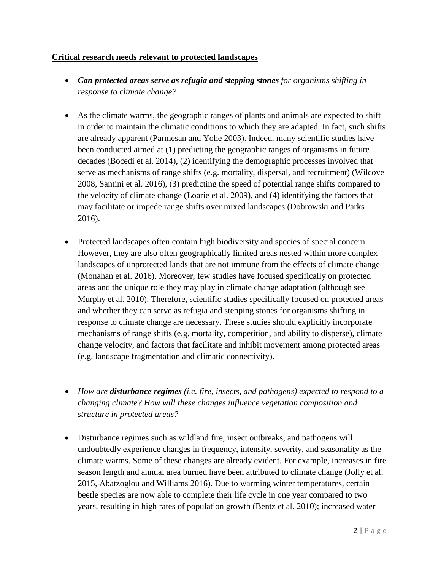## **Critical research needs relevant to protected landscapes**

- *Can protected areas serve as refugia and stepping stones for organisms shifting in response to climate change?*
- As the climate warms, the geographic ranges of plants and animals are expected to shift in order to maintain the climatic conditions to which they are adapted. In fact, such shifts are already apparent (Parmesan and Yohe 2003). Indeed, many scientific studies have been conducted aimed at (1) predicting the geographic ranges of organisms in future decades (Bocedi et al. 2014), (2) identifying the demographic processes involved that serve as mechanisms of range shifts (e.g. mortality, dispersal, and recruitment) (Wilcove 2008, Santini et al. 2016), (3) predicting the speed of potential range shifts compared to the velocity of climate change (Loarie et al. 2009), and (4) identifying the factors that may facilitate or impede range shifts over mixed landscapes (Dobrowski and Parks 2016).
- Protected landscapes often contain high biodiversity and species of special concern. However, they are also often geographically limited areas nested within more complex landscapes of unprotected lands that are not immune from the effects of climate change (Monahan et al. 2016). Moreover, few studies have focused specifically on protected areas and the unique role they may play in climate change adaptation (although see Murphy et al. 2010). Therefore, scientific studies specifically focused on protected areas and whether they can serve as refugia and stepping stones for organisms shifting in response to climate change are necessary. These studies should explicitly incorporate mechanisms of range shifts (e.g. mortality, competition, and ability to disperse), climate change velocity, and factors that facilitate and inhibit movement among protected areas (e.g. landscape fragmentation and climatic connectivity).
- *How are disturbance regimes (i.e. fire, insects, and pathogens) expected to respond to a changing climate? How will these changes influence vegetation composition and structure in protected areas?*
- Disturbance regimes such as wildland fire, insect outbreaks, and pathogens will undoubtedly experience changes in frequency, intensity, severity, and seasonality as the climate warms. Some of these changes are already evident. For example, increases in fire season length and annual area burned have been attributed to climate change (Jolly et al. 2015, Abatzoglou and Williams 2016). Due to warming winter temperatures, certain beetle species are now able to complete their life cycle in one year compared to two years, resulting in high rates of population growth (Bentz et al. 2010); increased water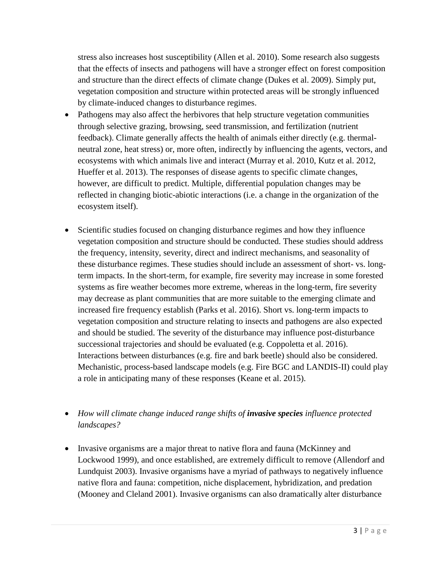stress also increases host susceptibility (Allen et al. 2010). Some research also suggests that the effects of insects and pathogens will have a stronger effect on forest composition and structure than the direct effects of climate change (Dukes et al. 2009). Simply put, vegetation composition and structure within protected areas will be strongly influenced by climate-induced changes to disturbance regimes.

- Pathogens may also affect the herbivores that help structure vegetation communities through selective grazing, browsing, seed transmission, and fertilization (nutrient feedback). Climate generally affects the health of animals either directly (e.g. thermalneutral zone, heat stress) or, more often, indirectly by influencing the agents, vectors, and ecosystems with which animals live and interact (Murray et al. 2010, Kutz et al. 2012, Hueffer et al. 2013). The responses of disease agents to specific climate changes, however, are difficult to predict. Multiple, differential population changes may be reflected in changing biotic-abiotic interactions (i.e. a change in the organization of the ecosystem itself).
- Scientific studies focused on changing disturbance regimes and how they influence vegetation composition and structure should be conducted. These studies should address the frequency, intensity, severity, direct and indirect mechanisms, and seasonality of these disturbance regimes. These studies should include an assessment of short- vs. longterm impacts. In the short-term, for example, fire severity may increase in some forested systems as fire weather becomes more extreme, whereas in the long-term, fire severity may decrease as plant communities that are more suitable to the emerging climate and increased fire frequency establish (Parks et al. 2016). Short vs. long-term impacts to vegetation composition and structure relating to insects and pathogens are also expected and should be studied. The severity of the disturbance may influence post-disturbance successional trajectories and should be evaluated (e.g. Coppoletta et al. 2016). Interactions between disturbances (e.g. fire and bark beetle) should also be considered. Mechanistic, process-based landscape models (e.g. Fire BGC and LANDIS-II) could play a role in anticipating many of these responses (Keane et al. 2015).
- *How will climate change induced range shifts of invasive species influence protected landscapes?*
- Invasive organisms are a major threat to native flora and fauna (McKinney and Lockwood 1999), and once established, are extremely difficult to remove (Allendorf and Lundquist 2003). Invasive organisms have a myriad of pathways to negatively influence native flora and fauna: competition, niche displacement, hybridization, and predation (Mooney and Cleland 2001). Invasive organisms can also dramatically alter disturbance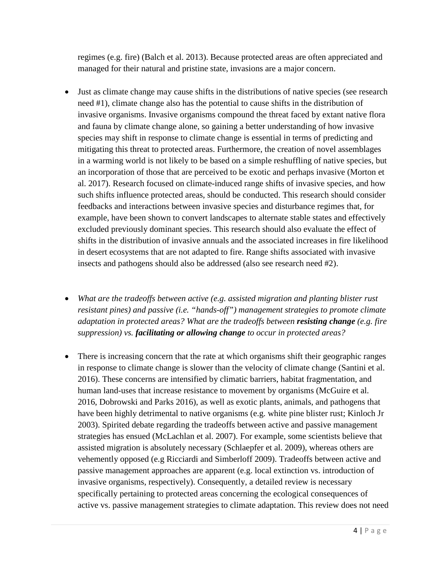regimes (e.g. fire) (Balch et al. 2013). Because protected areas are often appreciated and managed for their natural and pristine state, invasions are a major concern.

- Just as climate change may cause shifts in the distributions of native species (see research need #1), climate change also has the potential to cause shifts in the distribution of invasive organisms. Invasive organisms compound the threat faced by extant native flora and fauna by climate change alone, so gaining a better understanding of how invasive species may shift in response to climate change is essential in terms of predicting and mitigating this threat to protected areas. Furthermore, the creation of novel assemblages in a warming world is not likely to be based on a simple reshuffling of native species, but an incorporation of those that are perceived to be exotic and perhaps invasive (Morton et al. 2017). Research focused on climate-induced range shifts of invasive species, and how such shifts influence protected areas, should be conducted. This research should consider feedbacks and interactions between invasive species and disturbance regimes that, for example, have been shown to convert landscapes to alternate stable states and effectively excluded previously dominant species. This research should also evaluate the effect of shifts in the distribution of invasive annuals and the associated increases in fire likelihood in desert ecosystems that are not adapted to fire. Range shifts associated with invasive insects and pathogens should also be addressed (also see research need #2).
- *What are the tradeoffs between active (e.g. assisted migration and planting blister rust resistant pines) and passive (i.e. "hands-off") management strategies to promote climate adaptation in protected areas? What are the tradeoffs between resisting change (e.g. fire suppression) vs. facilitating or allowing change to occur in protected areas?*
- There is increasing concern that the rate at which organisms shift their geographic ranges in response to climate change is slower than the velocity of climate change (Santini et al. 2016). These concerns are intensified by climatic barriers, habitat fragmentation, and human land-uses that increase resistance to movement by organisms (McGuire et al. 2016, Dobrowski and Parks 2016), as well as exotic plants, animals, and pathogens that have been highly detrimental to native organisms (e.g. white pine blister rust; Kinloch Jr 2003). Spirited debate regarding the tradeoffs between active and passive management strategies has ensued (McLachlan et al. 2007). For example, some scientists believe that assisted migration is absolutely necessary (Schlaepfer et al. 2009), whereas others are vehemently opposed (e.g Ricciardi and Simberloff 2009). Tradeoffs between active and passive management approaches are apparent (e.g. local extinction vs. introduction of invasive organisms, respectively). Consequently, a detailed review is necessary specifically pertaining to protected areas concerning the ecological consequences of active vs. passive management strategies to climate adaptation. This review does not need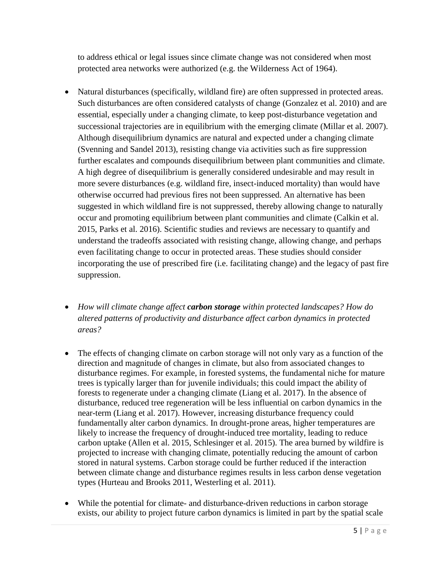to address ethical or legal issues since climate change was not considered when most protected area networks were authorized (e.g. the Wilderness Act of 1964).

- Natural disturbances (specifically, wildland fire) are often suppressed in protected areas. Such disturbances are often considered catalysts of change (Gonzalez et al. 2010) and are essential, especially under a changing climate, to keep post-disturbance vegetation and successional trajectories are in equilibrium with the emerging climate (Millar et al. 2007). Although disequilibrium dynamics are natural and expected under a changing climate (Svenning and Sandel 2013), resisting change via activities such as fire suppression further escalates and compounds disequilibrium between plant communities and climate. A high degree of disequilibrium is generally considered undesirable and may result in more severe disturbances (e.g. wildland fire, insect-induced mortality) than would have otherwise occurred had previous fires not been suppressed. An alternative has been suggested in which wildland fire is not suppressed, thereby allowing change to naturally occur and promoting equilibrium between plant communities and climate (Calkin et al. 2015, Parks et al. 2016). Scientific studies and reviews are necessary to quantify and understand the tradeoffs associated with resisting change, allowing change, and perhaps even facilitating change to occur in protected areas. These studies should consider incorporating the use of prescribed fire (i.e. facilitating change) and the legacy of past fire suppression.
- *How will climate change affect carbon storage within protected landscapes? How do altered patterns of productivity and disturbance affect carbon dynamics in protected areas?*
- The effects of changing climate on carbon storage will not only vary as a function of the direction and magnitude of changes in climate, but also from associated changes to disturbance regimes. For example, in forested systems, the fundamental niche for mature trees is typically larger than for juvenile individuals; this could impact the ability of forests to regenerate under a changing climate (Liang et al. 2017). In the absence of disturbance, reduced tree regeneration will be less influential on carbon dynamics in the near-term (Liang et al. 2017). However, increasing disturbance frequency could fundamentally alter carbon dynamics. In drought-prone areas, higher temperatures are likely to increase the frequency of drought-induced tree mortality, leading to reduce carbon uptake (Allen et al. 2015, Schlesinger et al. 2015). The area burned by wildfire is projected to increase with changing climate, potentially reducing the amount of carbon stored in natural systems. Carbon storage could be further reduced if the interaction between climate change and disturbance regimes results in less carbon dense vegetation types (Hurteau and Brooks 2011, Westerling et al. 2011).
- While the potential for climate- and disturbance-driven reductions in carbon storage exists, our ability to project future carbon dynamics is limited in part by the spatial scale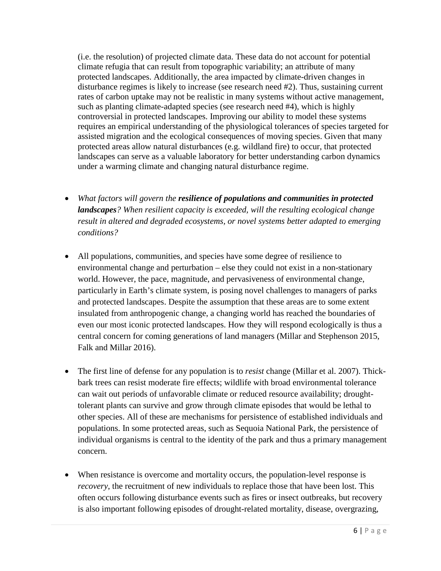(i.e. the resolution) of projected climate data. These data do not account for potential climate refugia that can result from topographic variability; an attribute of many protected landscapes. Additionally, the area impacted by climate-driven changes in disturbance regimes is likely to increase (see research need #2). Thus, sustaining current rates of carbon uptake may not be realistic in many systems without active management, such as planting climate-adapted species (see research need #4), which is highly controversial in protected landscapes. Improving our ability to model these systems requires an empirical understanding of the physiological tolerances of species targeted for assisted migration and the ecological consequences of moving species. Given that many protected areas allow natural disturbances (e.g. wildland fire) to occur, that protected landscapes can serve as a valuable laboratory for better understanding carbon dynamics under a warming climate and changing natural disturbance regime.

- *What factors will govern the resilience of populations and communities in protected landscapes? When resilient capacity is exceeded, will the resulting ecological change result in altered and degraded ecosystems, or novel systems better adapted to emerging conditions?*
- All populations, communities, and species have some degree of resilience to environmental change and perturbation – else they could not exist in a non-stationary world. However, the pace, magnitude, and pervasiveness of environmental change, particularly in Earth's climate system, is posing novel challenges to managers of parks and protected landscapes. Despite the assumption that these areas are to some extent insulated from anthropogenic change, a changing world has reached the boundaries of even our most iconic protected landscapes. How they will respond ecologically is thus a central concern for coming generations of land managers (Millar and Stephenson 2015, Falk and Millar 2016).
- The first line of defense for any population is to *resist* change (Millar et al. 2007). Thickbark trees can resist moderate fire effects; wildlife with broad environmental tolerance can wait out periods of unfavorable climate or reduced resource availability; droughttolerant plants can survive and grow through climate episodes that would be lethal to other species. All of these are mechanisms for persistence of established individuals and populations. In some protected areas, such as Sequoia National Park, the persistence of individual organisms is central to the identity of the park and thus a primary management concern.
- When resistance is overcome and mortality occurs, the population-level response is *recovery*, the recruitment of new individuals to replace those that have been lost. This often occurs following disturbance events such as fires or insect outbreaks, but recovery is also important following episodes of drought-related mortality, disease, overgrazing,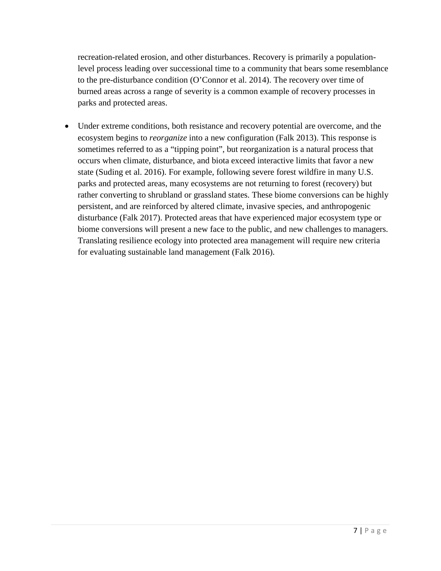recreation-related erosion, and other disturbances. Recovery is primarily a populationlevel process leading over successional time to a community that bears some resemblance to the pre-disturbance condition (O'Connor et al. 2014). The recovery over time of burned areas across a range of severity is a common example of recovery processes in parks and protected areas.

• Under extreme conditions, both resistance and recovery potential are overcome, and the ecosystem begins to *reorganize* into a new configuration (Falk 2013). This response is sometimes referred to as a "tipping point", but reorganization is a natural process that occurs when climate, disturbance, and biota exceed interactive limits that favor a new state (Suding et al. 2016). For example, following severe forest wildfire in many U.S. parks and protected areas, many ecosystems are not returning to forest (recovery) but rather converting to shrubland or grassland states. These biome conversions can be highly persistent, and are reinforced by altered climate, invasive species, and anthropogenic disturbance (Falk 2017). Protected areas that have experienced major ecosystem type or biome conversions will present a new face to the public, and new challenges to managers. Translating resilience ecology into protected area management will require new criteria for evaluating sustainable land management (Falk 2016).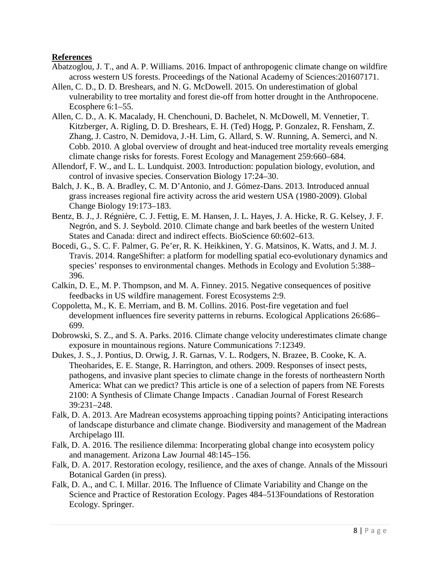### **References**

- Abatzoglou, J. T., and A. P. Williams. 2016. Impact of anthropogenic climate change on wildfire across western US forests. Proceedings of the National Academy of Sciences:201607171.
- Allen, C. D., D. D. Breshears, and N. G. McDowell. 2015. On underestimation of global vulnerability to tree mortality and forest die-off from hotter drought in the Anthropocene. Ecosphere 6:1–55.
- Allen, C. D., A. K. Macalady, H. Chenchouni, D. Bachelet, N. McDowell, M. Vennetier, T. Kitzberger, A. Rigling, D. D. Breshears, E. H. (Ted) Hogg, P. Gonzalez, R. Fensham, Z. Zhang, J. Castro, N. Demidova, J.-H. Lim, G. Allard, S. W. Running, A. Semerci, and N. Cobb. 2010. A global overview of drought and heat-induced tree mortality reveals emerging climate change risks for forests. Forest Ecology and Management 259:660–684.
- Allendorf, F. W., and L. L. Lundquist. 2003. Introduction: population biology, evolution, and control of invasive species. Conservation Biology 17:24–30.
- Balch, J. K., B. A. Bradley, C. M. D'Antonio, and J. Gómez-Dans. 2013. Introduced annual grass increases regional fire activity across the arid western USA (1980-2009). Global Change Biology 19:173–183.
- Bentz, B. J., J. Régnière, C. J. Fettig, E. M. Hansen, J. L. Hayes, J. A. Hicke, R. G. Kelsey, J. F. Negrón, and S. J. Seybold. 2010. Climate change and bark beetles of the western United States and Canada: direct and indirect effects. BioScience 60:602–613.
- Bocedi, G., S. C. F. Palmer, G. Pe'er, R. K. Heikkinen, Y. G. Matsinos, K. Watts, and J. M. J. Travis. 2014. RangeShifter: a platform for modelling spatial eco-evolutionary dynamics and species' responses to environmental changes. Methods in Ecology and Evolution 5:388– 396.
- Calkin, D. E., M. P. Thompson, and M. A. Finney. 2015. Negative consequences of positive feedbacks in US wildfire management. Forest Ecosystems 2:9.
- Coppoletta, M., K. E. Merriam, and B. M. Collins. 2016. Post-fire vegetation and fuel development influences fire severity patterns in reburns. Ecological Applications 26:686– 699.
- Dobrowski, S. Z., and S. A. Parks. 2016. Climate change velocity underestimates climate change exposure in mountainous regions. Nature Communications 7:12349.
- Dukes, J. S., J. Pontius, D. Orwig, J. R. Garnas, V. L. Rodgers, N. Brazee, B. Cooke, K. A. Theoharides, E. E. Stange, R. Harrington, and others. 2009. Responses of insect pests, pathogens, and invasive plant species to climate change in the forests of northeastern North America: What can we predict? This article is one of a selection of papers from NE Forests 2100: A Synthesis of Climate Change Impacts . Canadian Journal of Forest Research 39:231–248.
- Falk, D. A. 2013. Are Madrean ecosystems approaching tipping points? Anticipating interactions of landscape disturbance and climate change. Biodiversity and management of the Madrean Archipelago III.
- Falk, D. A. 2016. The resilience dilemma: Incorperating global change into ecosystem policy and management. Arizona Law Journal 48:145–156.
- Falk, D. A. 2017. Restoration ecology, resilience, and the axes of change. Annals of the Missouri Botanical Garden (in press).
- Falk, D. A., and C. I. Millar. 2016. The Influence of Climate Variability and Change on the Science and Practice of Restoration Ecology. Pages 484–513Foundations of Restoration Ecology. Springer.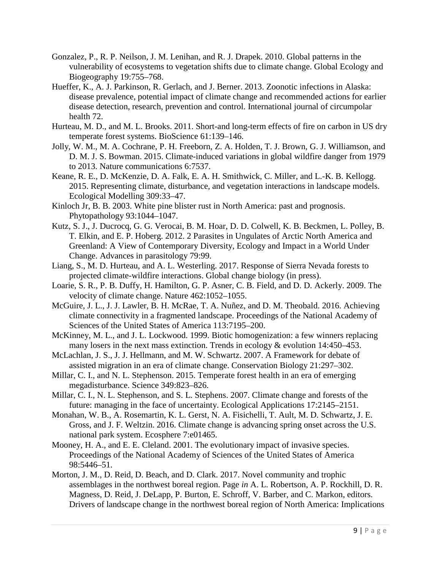- Gonzalez, P., R. P. Neilson, J. M. Lenihan, and R. J. Drapek. 2010. Global patterns in the vulnerability of ecosystems to vegetation shifts due to climate change. Global Ecology and Biogeography 19:755–768.
- Hueffer, K., A. J. Parkinson, R. Gerlach, and J. Berner. 2013. Zoonotic infections in Alaska: disease prevalence, potential impact of climate change and recommended actions for earlier disease detection, research, prevention and control. International journal of circumpolar health 72.
- Hurteau, M. D., and M. L. Brooks. 2011. Short-and long-term effects of fire on carbon in US dry temperate forest systems. BioScience 61:139–146.
- Jolly, W. M., M. A. Cochrane, P. H. Freeborn, Z. A. Holden, T. J. Brown, G. J. Williamson, and D. M. J. S. Bowman. 2015. Climate-induced variations in global wildfire danger from 1979 to 2013. Nature communications 6:7537.
- Keane, R. E., D. McKenzie, D. A. Falk, E. A. H. Smithwick, C. Miller, and L.-K. B. Kellogg. 2015. Representing climate, disturbance, and vegetation interactions in landscape models. Ecological Modelling 309:33–47.
- Kinloch Jr, B. B. 2003. White pine blister rust in North America: past and prognosis. Phytopathology 93:1044–1047.
- Kutz, S. J., J. Ducrocq, G. G. Verocai, B. M. Hoar, D. D. Colwell, K. B. Beckmen, L. Polley, B. T. Elkin, and E. P. Hoberg. 2012. 2 Parasites in Ungulates of Arctic North America and Greenland: A View of Contemporary Diversity, Ecology and Impact in a World Under Change. Advances in parasitology 79:99.
- Liang, S., M. D. Hurteau, and A. L. Westerling. 2017. Response of Sierra Nevada forests to projected climate-wildfire interactions. Global change biology (in press).
- Loarie, S. R., P. B. Duffy, H. Hamilton, G. P. Asner, C. B. Field, and D. D. Ackerly. 2009. The velocity of climate change. Nature 462:1052–1055.
- McGuire, J. L., J. J. Lawler, B. H. McRae, T. A. Nuñez, and D. M. Theobald. 2016. Achieving climate connectivity in a fragmented landscape. Proceedings of the National Academy of Sciences of the United States of America 113:7195–200.
- McKinney, M. L., and J. L. Lockwood. 1999. Biotic homogenization: a few winners replacing many losers in the next mass extinction. Trends in ecology & evolution 14:450–453.
- McLachlan, J. S., J. J. Hellmann, and M. W. Schwartz. 2007. A Framework for debate of assisted migration in an era of climate change. Conservation Biology 21:297–302.
- Millar, C. I., and N. L. Stephenson. 2015. Temperate forest health in an era of emerging megadisturbance. Science 349:823–826.
- Millar, C. I., N. L. Stephenson, and S. L. Stephens. 2007. Climate change and forests of the future: managing in the face of uncertainty. Ecological Applications 17:2145–2151.
- Monahan, W. B., A. Rosemartin, K. L. Gerst, N. A. Fisichelli, T. Ault, M. D. Schwartz, J. E. Gross, and J. F. Weltzin. 2016. Climate change is advancing spring onset across the U.S. national park system. Ecosphere 7:e01465.
- Mooney, H. A., and E. E. Cleland. 2001. The evolutionary impact of invasive species. Proceedings of the National Academy of Sciences of the United States of America 98:5446–51.
- Morton, J. M., D. Reid, D. Beach, and D. Clark. 2017. Novel community and trophic assemblages in the northwest boreal region. Page *in* A. L. Robertson, A. P. Rockhill, D. R. Magness, D. Reid, J. DeLapp, P. Burton, E. Schroff, V. Barber, and C. Markon, editors. Drivers of landscape change in the northwest boreal region of North America: Implications